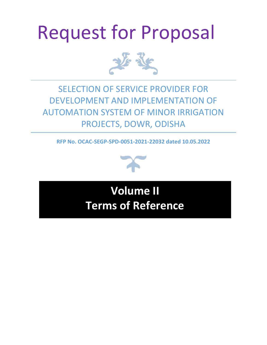# Request for Proposal



# SELECTION OF SERVICE PROVIDER FOR DEVELOPMENT AND IMPLEMENTATION OF AUTOMATION SYSTEM OF MINOR IRRIGATION PROJECTS, DOWR, ODISHA

**RFP No. OCAC-SEGP-SPD-0051-2021-22032 dated 10.05.2022**



**Volume II Terms of Reference**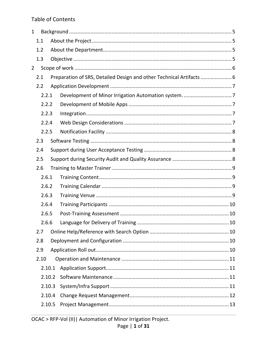# **Table of Contents**

| 1              |       |        |                                                                      |    |  |  |  |  |  |
|----------------|-------|--------|----------------------------------------------------------------------|----|--|--|--|--|--|
|                | 1.1   |        |                                                                      |    |  |  |  |  |  |
|                | 1.2   |        |                                                                      |    |  |  |  |  |  |
|                | 1.3   |        |                                                                      |    |  |  |  |  |  |
| $\overline{2}$ |       |        |                                                                      |    |  |  |  |  |  |
|                | 2.1   |        | Preparation of SRS, Detailed Design and other Technical Artifacts  6 |    |  |  |  |  |  |
|                | 2.2   |        |                                                                      |    |  |  |  |  |  |
|                | 2.2.1 |        |                                                                      |    |  |  |  |  |  |
|                | 2.2.2 |        |                                                                      |    |  |  |  |  |  |
|                | 2.2.3 |        |                                                                      |    |  |  |  |  |  |
|                | 2.2.4 |        |                                                                      |    |  |  |  |  |  |
|                | 2.2.5 |        |                                                                      |    |  |  |  |  |  |
|                | 2.3   |        |                                                                      |    |  |  |  |  |  |
|                | 2.4   |        |                                                                      |    |  |  |  |  |  |
|                | 2.5   |        |                                                                      |    |  |  |  |  |  |
|                | 2.6   |        |                                                                      |    |  |  |  |  |  |
|                | 2.6.1 |        |                                                                      |    |  |  |  |  |  |
|                | 2.6.2 |        |                                                                      |    |  |  |  |  |  |
|                | 2.6.3 |        |                                                                      |    |  |  |  |  |  |
|                | 2.6.4 |        |                                                                      |    |  |  |  |  |  |
|                | 2.6.5 |        |                                                                      |    |  |  |  |  |  |
|                | 2.6.6 |        | Language for Delivery of Training                                    | 10 |  |  |  |  |  |
|                | 2.7   |        |                                                                      |    |  |  |  |  |  |
|                | 2.8   |        |                                                                      |    |  |  |  |  |  |
|                | 2.9   |        |                                                                      |    |  |  |  |  |  |
|                | 2.10  |        |                                                                      |    |  |  |  |  |  |
|                |       | 2.10.1 |                                                                      |    |  |  |  |  |  |
|                |       | 2.10.2 |                                                                      |    |  |  |  |  |  |
|                |       | 2.10.3 |                                                                      |    |  |  |  |  |  |
|                |       | 2.10.4 |                                                                      |    |  |  |  |  |  |
|                |       | 2.10.5 |                                                                      |    |  |  |  |  |  |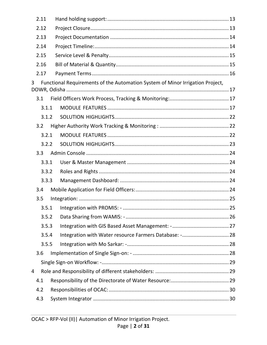| 2.11 |       |                                                                               |  |  |  |  |  |  |
|------|-------|-------------------------------------------------------------------------------|--|--|--|--|--|--|
| 2.12 |       |                                                                               |  |  |  |  |  |  |
| 2.13 |       |                                                                               |  |  |  |  |  |  |
| 2.14 |       |                                                                               |  |  |  |  |  |  |
| 2.15 |       |                                                                               |  |  |  |  |  |  |
| 2.16 |       |                                                                               |  |  |  |  |  |  |
| 2.17 |       |                                                                               |  |  |  |  |  |  |
| 3    |       | Functional Requirements of the Automation System of Minor Irrigation Project, |  |  |  |  |  |  |
| 3.1  |       |                                                                               |  |  |  |  |  |  |
|      | 3.1.1 |                                                                               |  |  |  |  |  |  |
|      | 3.1.2 |                                                                               |  |  |  |  |  |  |
| 3.2  |       |                                                                               |  |  |  |  |  |  |
|      | 3.2.1 |                                                                               |  |  |  |  |  |  |
|      | 3.2.2 |                                                                               |  |  |  |  |  |  |
| 3.3  |       |                                                                               |  |  |  |  |  |  |
|      | 3.3.1 |                                                                               |  |  |  |  |  |  |
|      | 3.3.2 |                                                                               |  |  |  |  |  |  |
|      | 3.3.3 |                                                                               |  |  |  |  |  |  |
| 3.4  |       |                                                                               |  |  |  |  |  |  |
| 3.5  |       |                                                                               |  |  |  |  |  |  |
|      |       |                                                                               |  |  |  |  |  |  |
|      | 3.5.2 |                                                                               |  |  |  |  |  |  |
|      | 3.5.3 |                                                                               |  |  |  |  |  |  |
|      | 3.5.4 | Integration with Water resource Farmers Database: - 28                        |  |  |  |  |  |  |
|      | 3.5.5 |                                                                               |  |  |  |  |  |  |
| 3.6  |       |                                                                               |  |  |  |  |  |  |
|      |       |                                                                               |  |  |  |  |  |  |
| 4    |       |                                                                               |  |  |  |  |  |  |
| 4.1  |       |                                                                               |  |  |  |  |  |  |
| 4.2  |       |                                                                               |  |  |  |  |  |  |
| 4.3  |       |                                                                               |  |  |  |  |  |  |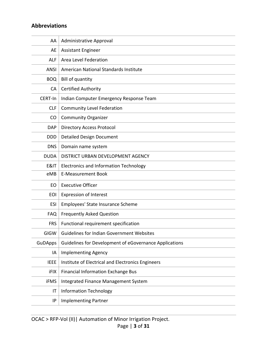# **Abbreviations**

| AA             | Administrative Approval                                |
|----------------|--------------------------------------------------------|
| AE             | <b>Assistant Engineer</b>                              |
| <b>ALF</b>     | Area Level Federation                                  |
| <b>ANSI</b>    | American National Standards Institute                  |
| <b>BOQ</b>     | <b>Bill of quantity</b>                                |
| CA             | <b>Certified Authority</b>                             |
| CERT-In        | Indian Computer Emergency Response Team                |
| <b>CLF</b>     | <b>Community Level Federation</b>                      |
| CO             | <b>Community Organizer</b>                             |
| <b>DAP</b>     | <b>Directory Access Protocol</b>                       |
| <b>DDD</b>     | <b>Detailed Design Document</b>                        |
| <b>DNS</b>     | Domain name system                                     |
| <b>DUDA</b>    | DISTRICT URBAN DEVELOPMENT AGENCY                      |
| E&IT           | <b>Electronics and Information Technology</b>          |
| eMB            | <b>E-Measurement Book</b>                              |
| EO             | <b>Executive Officer</b>                               |
| <b>EOI</b>     | <b>Expression of Interest</b>                          |
| <b>ESI</b>     | Employees' State Insurance Scheme                      |
| <b>FAQ</b>     | <b>Frequently Asked Question</b>                       |
| <b>FRS</b>     | Functional requirement specification                   |
| GIGW           | <b>Guidelines for Indian Government Websites</b>       |
| <b>GuDApps</b> | Guidelines for Development of eGovernance Applications |
| ΙA             | <b>Implementing Agency</b>                             |
| <b>IEEE</b>    | Institute of Electrical and Electronics Engineers      |
| iFIX           | <b>Financial Information Exchange Bus</b>              |
| iFMS           | Integrated Finance Management System                   |
| IT             | <b>Information Technology</b>                          |
| IP             | <b>Implementing Partner</b>                            |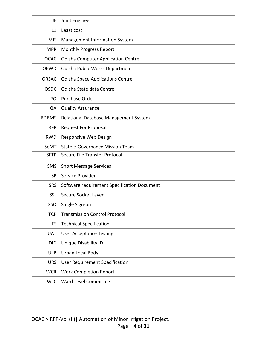| JE           | Joint Engineer                              |
|--------------|---------------------------------------------|
| L1           | Least cost                                  |
| <b>MIS</b>   | Management Information System               |
| <b>MPR</b>   | <b>Monthly Progress Report</b>              |
| <b>OCAC</b>  | <b>Odisha Computer Application Centre</b>   |
| OPWD         | Odisha Public Works Department              |
| <b>ORSAC</b> | <b>Odisha Space Applications Centre</b>     |
| <b>OSDC</b>  | Odisha State data Centre                    |
| PO           | Purchase Order                              |
| QA           | <b>Quality Assurance</b>                    |
| <b>RDBMS</b> | Relational Database Management System       |
| <b>RFP</b>   | <b>Request For Proposal</b>                 |
| <b>RWD</b>   | Responsive Web Design                       |
| SeMT         | State e-Governance Mission Team             |
| <b>SFTP</b>  | Secure File Transfer Protocol               |
| <b>SMS</b>   | <b>Short Message Services</b>               |
| <b>SP</b>    | Service Provider                            |
| <b>SRS</b>   | Software requirement Specification Document |
| <b>SSL</b>   | Secure Socket Layer                         |
| SSO          | Single Sign-on                              |
| <b>TCP</b>   | <b>Transmission Control Protocol</b>        |
| <b>TS</b>    | <b>Technical Specification</b>              |
| <b>UAT</b>   | <b>User Acceptance Testing</b>              |
| <b>UDID</b>  | <b>Unique Disability ID</b>                 |
| <b>ULB</b>   | Urban Local Body                            |
| <b>URS</b>   | <b>User Requirement Specification</b>       |
| <b>WCR</b>   | <b>Work Completion Report</b>               |
| <b>WLC</b>   | Ward Level Committee                        |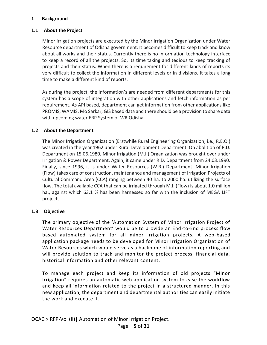#### <span id="page-5-0"></span>**1 Background**

### <span id="page-5-1"></span>**1.1 About the Project**

Minor irrigation projects are executed by the Minor Irrigation Organization under Water Resource department of Odisha government. It becomes difficult to keep track and know about all works and their status. Currently there is no information technology interface to keep a record of all the projects. So, its time taking and tedious to keep tracking of projects and their status. When there is a requirement for different kinds of reports its very difficult to collect the information in different levels or in divisions. It takes a long time to make a different kind of reports.

As during the project, the information's are needed from different departments for this system has a scope of integration with other applications and fetch information as per requirement. As API based, department can get information from other applications like PROMIS, WAMIS, Mo Sarkar, GIS based data and there should be a provision to share data with upcoming water ERP System of WR Odisha.

# <span id="page-5-2"></span>**1.2 About the Department**

The Minor Irrigation Organization (Erstwhile Rural Engineering Organization, i.e., R.E.O.) was created in the year 1962 under Rural Development Department. On abolition of R.D. Department on 15.06.1980, Minor Irrigation (M.I.) Organization was brought over under Irrigation & Power Department. Again, it came under R.D. Department from 24.03.1990. Finally, since 1996, it is under Water Resources (W.R.) Department. Minor Irrigation (Flow) takes care of construction, maintenance and management of Irrigation Projects of Cultural Command Area (CCA) ranging between 40 ha. to 2000 ha. utilizing the surface flow. The total available CCA that can be irrigated through M.I. (Flow) is about 1.0 million ha., against which 63.1 % has been harnessed so far with the inclusion of MEGA LIFT projects.

# <span id="page-5-3"></span>**1.3 Objective**

The primary objective of the 'Automation System of Minor Irrigation Project of Water Resources Department' would be to provide an End-to-End process flow based automated system for all minor irrigation projects. A web-based application package needs to be developed for Minor Irrigation Organization of Water Resources which would serve as a backbone of information reporting and will provide solution to track and monitor the project process, financial data, historical information and other relevant content.

To manage each project and keep its information of old projects "Minor Irrigation" requires an automatic web application system to ease the workflow and keep all information related to the project in a structured manner. In this new application, the department and departmental authorities can easily initiate the work and execute it.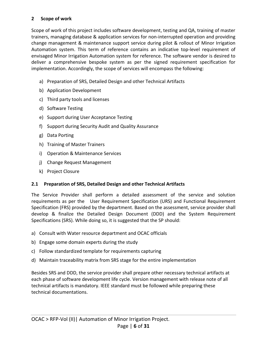# <span id="page-6-0"></span>**2 Scope of work**

Scope of work of this project includes software development, testing and QA, training of master trainers, managing database & application services for non-interrupted operation and providing change management & maintenance support service during pilot & rollout of Minor Irrigation Automation system. This term of reference contains an indicative top-level requirement of envisaged Minor Irrigation Automation system for reference. The software vendor is desired to deliver a comprehensive bespoke system as per the signed requirement specification for implementation. Accordingly, the scope of services will encompass the following:

- a) Preparation of SRS, Detailed Design and other Technical Artifacts
- b) Application Development
- c) Third party tools and licenses
- d) Software Testing
- e) Support during User Acceptance Testing
- f) Support during Security Audit and Quality Assurance
- g) Data Porting
- h) Training of Master Trainers
- i) Operation & Maintenance Services
- j) Change Request Management
- k) Project Closure

# <span id="page-6-1"></span>**2.1 Preparation of SRS, Detailed Design and other Technical Artifacts**

The Service Provider shall perform a detailed assessment of the service and solution requirements as per the User Requirement Specification (URS) and Functional Requirement Specification (FRS) provided by the department. Based on the assessment, service provider shall develop & finalize the Detailed Design Document (DDD) and the System Requirement Specifications (SRS). While doing so, it is suggested that the SP should:

- a) Consult with Water resource department and OCAC officials
- b) Engage some domain experts during the study
- c) Follow standardized template for requirements capturing
- d) Maintain traceability matrix from SRS stage for the entire implementation

Besides SRS and DDD, the service provider shall prepare other necessary technical artifacts at each phase of software development life cycle. Version management with release note of all technical artifacts is mandatory. IEEE standard must be followed while preparing these technical documentations.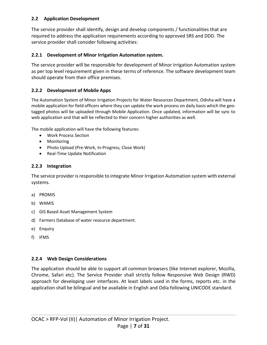### <span id="page-7-0"></span>**2.2 Application Development**

The service provider shall identify, design and develop components / functionalities that are required to address the application requirements according to approved SRS and DDD. The service provider shall consider following activities:

# <span id="page-7-1"></span>**2.2.1 Development of Minor Irrigation Automation system.**

The service provider will be responsible for development of Minor Irrigation Automation system as per top level requirement given in these terms of reference. The software development team should operate from their office premises.

#### <span id="page-7-2"></span>**2.2.2 Development of Mobile Apps**

The Automation System of Minor Irrigation Projects for Water Resources Department, Odisha will have a mobile application for field officers where they can update the work process on daily basis which the geotagged photos will be uploaded through Mobile Application. Once updated, information will be sync to web application and that will be reflected to their concern higher authorities as well.

The mobile application will have the following features:

- Work Process Section
- Monitoring
- Photo Upload (Pre-Work, In-Progress, Close Work)
- Real-Time Update Notification

#### <span id="page-7-3"></span>**2.2.3 Integration**

The service provider is responsible to integrate Minor Irrigation Automation system with external systems.

- a) PROMIS
- b) WAMIS
- c) GIS Based Asset Management System
- d) Farmers Database of water resource department.
- e) Enquiry
- f) IFMS

# <span id="page-7-4"></span>**2.2.4 Web Design Considerations**

The application should be able to support all common browsers (like Internet explorer, Mozilla, Chrome, Safari etc). The Service Provider shall strictly follow Responsive Web Design (RWD) approach for developing user interfaces. At least labels used in the forms, reports etc. in the application shall be bilingual and be available in English and Odia following UNICODE standard.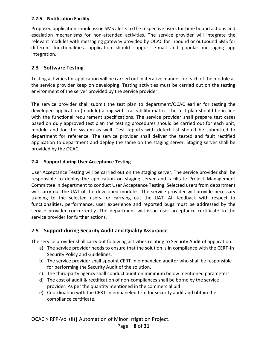# <span id="page-8-0"></span>**2.2.5 Notification Facility**

Proposed application should issue SMS alerts to the respective users for time bound actions and escalation mechanisms for non-attended activities. The service provider will integrate the relevant modules with messaging gateway provided by OCAC for inbound or outbound SMS for different functionalities. application should support e-mail and popular messaging app integration.

# <span id="page-8-1"></span>**2.3 Software Testing**

Testing activities for application will be carried out in iterative manner for each of the module as the service provider keep on developing. Testing activities must be carried out on the testing environment of the server provided by the service provider.

The service provider shall submit the test plan to department/OCAC earlier for testing the developed application (module) along with traceability matrix. The test plan should be in line with the functional requirement specifications. The service provider shall prepare test cases based on duly approved test plan the testing procedures should be carried out for each unit, module and for the system as well. Test reports with defect list should be submitted to department for reference. The service provider shall deliver the tested and fault rectified application to department and deploy the same on the staging server. Staging server shall be provided by the OCAC.

# <span id="page-8-2"></span>**2.4 Support during User Acceptance Testing**

User Acceptance Testing will be carried out on the staging server. The service provider shall be responsible to deploy the application on staging server and facilitate Project Management Committee in department to conduct User Acceptance Testing. Selected users from department will carry out the UAT of the developed modules. The service provider will provide necessary training to the selected users for carrying out the UAT. All feedback with respect to functionalities, performance, user experience and reported bugs must be addressed by the service provider concurrently. The department will issue user acceptance certificate to the service provider for further actions.

# <span id="page-8-3"></span>**2.5 Support during Security Audit and Quality Assurance**

The service provider shall carry out following activities relating to Security Audit of application.

- a) The service provider needs to ensure that the solution is in compliance with the CERT-In Security Policy and Guidelines.
- b) The service provider shall appoint CERT-In empaneled auditor who shall be responsible for performing the Security Audit of the solution.
- c) The third-party agency shall conduct audit on minimum below mentioned parameters.
- d) The cost of audit & rectification of non-compliances shall be borne by the service provider. As per the quantity mentioned in the commercial bid
- e) Coordination with the CERT-In empaneled firm for security audit and obtain the compliance certificate.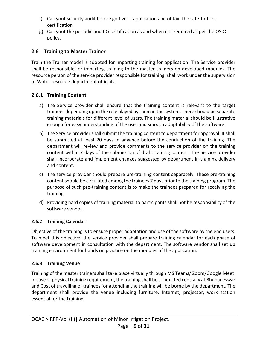- f) Carryout security audit before go-live of application and obtain the safe-to-host certification
- g) Carryout the periodic audit & certification as and when it is required as per the OSDC policy.

# <span id="page-9-0"></span>**2.6 Training to Master Trainer**

Train the Trainer model is adopted for imparting training for application. The Service provider shall be responsible for imparting training to the master trainers on developed modules. The resource person of the service provider responsible for training, shall work under the supervision of Water resource department officials.

# <span id="page-9-1"></span>**2.6.1 Training Content**

- a) The Service provider shall ensure that the training content is relevant to the target trainees depending upon the role played by them in the system. There should be separate training materials for different level of users. The training material should be illustrative enough for easy understanding of the user and smooth adaptability of the software.
- b) The Service provider shall submit the training content to department for approval. It shall be submitted at least 20 days in advance before the conduction of the training. The department will review and provide comments to the service provider on the training content within 7 days of the submission of draft training content. The Service provider shall incorporate and implement changes suggested by department in training delivery and content.
- c) The service provider should prepare pre-training content separately. These pre-training content should be circulated among the trainees 7 days prior to the training program. The purpose of such pre-training content is to make the trainees prepared for receiving the training.
- d) Providing hard copies of training material to participants shall not be responsibility of the software vendor.

# <span id="page-9-2"></span>**2.6.2 Training Calendar**

Objective of the training is to ensure proper adaptation and use of the software by the end users. To meet this objective, the service provider shall prepare training calendar for each phase of software development in consultation with the department. The software vendor shall set up training environment for hands on practice on the modules of the application.

# <span id="page-9-3"></span>**2.6.3 Training Venue**

Training of the master trainers shall take place virtually through MS Teams/ Zoom/Google Meet. In case of physical training requirement, the training shall be conducted centrally at Bhubaneswar and Cost of travelling of trainees for attending the training will be borne by the department. The department shall provide the venue including furniture, Internet, projector, work station essential for the training.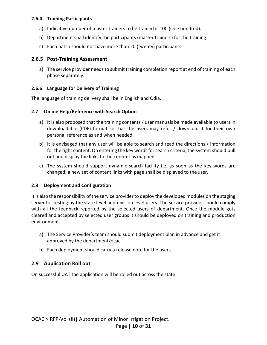#### <span id="page-10-0"></span>**2.6.4 Training Participants**

- a) Indicative number of master trainers to be trained is 100 (One hundred).
- b) Department shall identify the participants (master trainers) for the training.
- c) Each batch should not have more than 20 (twenty) participants.

#### <span id="page-10-1"></span>**2.6.5 Post-Training Assessment**

a) The service provider needs to submit training completion report at end of training of each phase separately.

#### <span id="page-10-2"></span>**2.6.6 Language for Delivery of Training**

The language of training delivery shall be in English and Odia.

#### <span id="page-10-3"></span>**2.7 Online Help/Reference with Search Option**

- a) It is also proposed that the training contents / user manuals be made available to users in downloadable (PDF) format so that the users may refer / download it for their own personal reference as and when needed.
- b) It is envisaged that any user will be able to search and read the directions / information for the right content. On entering the key words for search criteria, the system should pull out and display the links to the content as mapped.
- c) The system should support dynamic search facility i.e. as soon as the key words are changed; a new set of content links with page shall be displayed to the user.

#### <span id="page-10-4"></span>**2.8 Deployment and Configuration**

It is also the responsibility of the service provider to deploy the developed modules on the staging server for testing by the state level and division level users. The service provider should comply with all the feedback reported by the selected users of department. Once the module gets cleared and accepted by selected user groups it should be deployed on training and production environment.

- a) The Service Provider's team should submit deployment plan in advance and get it approved by the department/ocac.
- b) Each deployment should carry a release note for the users.

# <span id="page-10-5"></span>**2.9 Application Roll out**

On successful UAT the application will be rolled out across the state.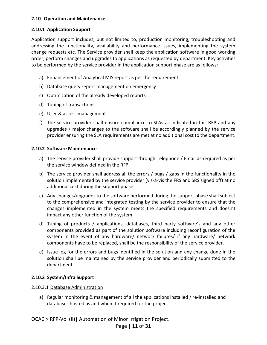#### <span id="page-11-0"></span>**2.10 Operation and Maintenance**

### <span id="page-11-1"></span>**2.10.1 Application Support**

Application support includes, but not limited to, production monitoring, troubleshooting and addressing the functionality, availability and performance issues, implementing the system change requests etc. The Service provider shall keep the application software in good working order; perform changes and upgrades to applications as requested by department. Key activities to be performed by the service provider in the application support phase are as follows:

- a) Enhancement of Analytical MIS report as per the requirement
- b) Database query report management on emergency
- c) Optimization of the already developed reports
- d) Tuning of transactions
- e) User & access management
- f) The service provider shall ensure compliance to SLAs as indicated in this RFP and any upgrades / major changes to the software shall be accordingly planned by the service provider ensuring the SLA requirements are met at no additional cost to the department.

# <span id="page-11-2"></span>**2.10.2 Software Maintenance**

- a) The service provider shall provide support through Telephone / Email as required as per the service window defined in the RFP
- b) The service provider shall address all the errors / bugs / gaps in the functionality in the solution implemented by the service provider (vis-à-vis the FRS and SRS signed off) at no additional cost during the support phase.
- c) Any changes/upgrades to the software performed during the support phase shall subject to the comprehensive and integrated testing by the service provider to ensure that the changes implemented in the system meets the specified requirements and doesn't impact any other function of the system.
- d) Tuning of products / applications, databases, third party software's and any other components provided as part of the solution software including reconfiguration of the system in the event of any hardware/ network failures/ if any hardware/ network components have to be replaced, shall be the responsibility of the service provider.
- e) Issue log for the errors and bugs identified in the solution and any change done in the solution shall be maintained by the service provider and periodically submitted to the department.

# <span id="page-11-3"></span>**2.10.3 System/Infra Support**

# 2.10.3.1 Database Administration

a) Regular monitoring & management of all the applications installed / re-installed and databases hosted as and when it required for the project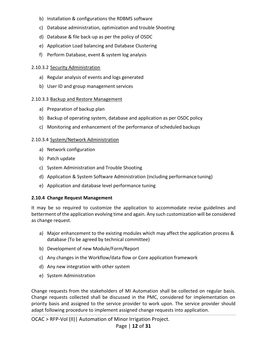- b) Installation & configurations the RDBMS software
- c) Database administration, optimization and trouble Shooting
- d) Database & file back-up as per the policy of OSDC
- e) Application Load balancing and Database Clustering
- f) Perform Database, event & system log analysis

#### 2.10.3.2 Security Administration

- a) Regular analysis of events and logs generated
- b) User ID and group management services

#### 2.10.3.3 Backup and Restore Management

- a) Preparation of backup plan
- b) Backup of operating system, database and application as per OSDC policy
- c) Monitoring and enhancement of the performance of scheduled backups

#### 2.10.3.4 System/Network Administration

- a) Network configuration
- b) Patch update
- c) System Administration and Trouble Shooting
- d) Application & System Software Administration (including performance tuning)
- e) Application and database level performance tuning

#### <span id="page-12-0"></span>**2.10.4 Change Request Management**

It may be so required to customize the application to accommodate revise guidelines and betterment of the application evolving time and again. Any such customization will be considered as change request.

- a) Major enhancement to the existing modules which may affect the application process & database (To be agreed by technical committee)
- b) Development of new Module/Form/Report
- c) Any changes in the Workflow/data flow or Core application framework
- d) Any new integration with other system
- e) System Administration

Change requests from the stakeholders of MI Automation shall be collected on regular basis. Change requests collected shall be discussed in the PMC, considered for implementation on priority basis and assigned to the service provider to work upon. The service provider should adapt following procedure to implement assigned change requests into application.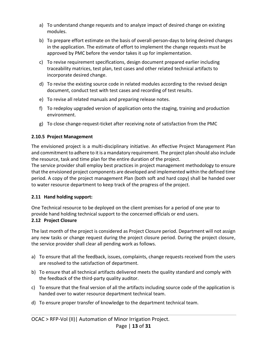- a) To understand change requests and to analyze impact of desired change on existing modules.
- b) To prepare effort estimate on the basis of overall-person-days to bring desired changes in the application. The estimate of effort to implement the change requests must be approved by PMC before the vendor takes it up for implementation.
- c) To revise requirement specifications, design document prepared earlier including traceability matrices, test plan, test cases and other related technical artifacts to incorporate desired change.
- d) To revise the existing source code in related modules according to the revised design document, conduct test with test cases and recording of test results.
- e) To revise all related manuals and preparing release notes.
- f) To redeploy upgraded version of application onto the staging, training and production environment.
- g) To close change-request-ticket after receiving note of satisfaction from the PMC

# <span id="page-13-0"></span>**2.10.5 Project Management**

The envisioned project is a multi-disciplinary initiative. An effective Project Management Plan and commitment to adhere to it is a mandatory requirement. The project plan should also include the resource, task and time plan for the entire duration of the project.

The service provider shall employ best practices in project management methodology to ensure that the envisioned project components are developed and implemented within the defined time period. A copy of the project management Plan (both soft and hard copy) shall be handed over to water resource department to keep track of the progress of the project.

# <span id="page-13-1"></span>**2.11 Hand holding support:**

One Technical resource to be deployed on the client premises for a period of one year to provide hand holding technical support to the concerned officials or end users.

# <span id="page-13-2"></span>**2.12 Project Closure**

The last month of the project is considered as Project Closure period. Department will not assign any new tasks or change request during the project closure period. During the project closure, the service provider shall clear all pending work as follows.

- a) To ensure that all the feedback, issues, complaints, change requests received from the users are resolved to the satisfaction of department.
- b) To ensure that all technical artifacts delivered meets the quality standard and comply with the feedback of the third-party quality auditor.
- c) To ensure that the final version of all the artifacts including source code of the application is handed over to water resource department technical team.
- d) To ensure proper transfer of knowledge to the department technical team.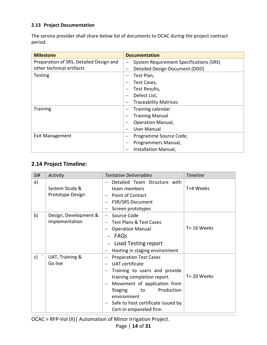# <span id="page-14-0"></span>**2.13 Project Documentation**

The service provider shall share below list of documents to OCAC during the project contract period.

| <b>Milestone</b>                        | <b>Documentation</b>                                         |
|-----------------------------------------|--------------------------------------------------------------|
| Preparation of SRS, Detailed Design and | System Requirement Specifications (SRS)<br>$\qquad \qquad -$ |
| other technical artifacts               | Detailed Design Document (DDD)<br>$\overline{\phantom{a}}$   |
| <b>Testing</b>                          | Test Plan,                                                   |
|                                         | Test Cases,                                                  |
|                                         | Test Results,                                                |
|                                         | Defect List,                                                 |
|                                         | <b>Traceability Matrices</b>                                 |
| <b>Training</b>                         | Training calendar                                            |
|                                         | <b>Training Manual</b>                                       |
|                                         | <b>Operation Manual,</b>                                     |
|                                         | User Manual                                                  |
| <b>Exit Management</b>                  | Programme Source Code,<br>-                                  |
|                                         | Programmers Manual,                                          |
|                                         | Installation Manual,                                         |

# <span id="page-14-1"></span>**2.14 Project Timeline:**

| SI# | Activity                                | <b>Tentative Deliverables</b>                                                                                                                                                                                                                                                     | <b>Timeline</b> |
|-----|-----------------------------------------|-----------------------------------------------------------------------------------------------------------------------------------------------------------------------------------------------------------------------------------------------------------------------------------|-----------------|
| a)  | System Study &<br>Prototype Design      | Detailed Team Structure with<br>team members<br>Point of Contact                                                                                                                                                                                                                  | T+4 Weeks       |
|     |                                         | FSR/SRS Document<br>Screen prototypes                                                                                                                                                                                                                                             |                 |
| b)  | Design, Development &<br>Implementation | Source Code<br><b>Test Plans &amp; Test Cases</b><br><b>Operation Manual</b><br>FAQs<br>- Load Testing report<br>Hosting in staging environment                                                                                                                                   | T+ 16 Weeks     |
| c)  | UAT, Training &<br>Go live              | <b>Preparation Test Cases</b><br><b>UAT</b> certificate<br>Training to users and provide<br>training completion report.<br>Movement of application from<br>Production<br><b>Staging</b><br>to<br>environment<br>Safe to host certificate issued by<br>—<br>Cert-in empaneled firm | T+20 Weeks      |

OCAC > RFP-Vol (II)| Automation of Minor Irrigation Project.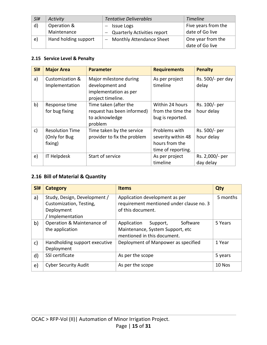| SI#          | Activity             | <b>Tentative Deliverables</b>      | <b>Timeline</b>     |
|--------------|----------------------|------------------------------------|---------------------|
| $\mathsf{d}$ | Operation &          | - Issue Logs                       | Five years from the |
|              | Maintenance          | <b>Quarterly Activities report</b> | date of Go live     |
| e)           | Hand holding support | - Monthly Attendance Sheet         | One year from the   |
|              |                      |                                    | date of Go live     |

# <span id="page-15-0"></span>**2.15 Service Level & Penalty**

| SI# | <b>Major Area</b>                                  | <b>Parameter</b>                                                                        | <b>Requirements</b>                                                         | <b>Penalty</b>               |
|-----|----------------------------------------------------|-----------------------------------------------------------------------------------------|-----------------------------------------------------------------------------|------------------------------|
| a)  | Customization &<br>Implementation                  | Major milestone during<br>development and<br>implementation as per<br>project timeline. | As per project<br>timeline                                                  | Rs. 500/- per day<br>delay   |
| b)  | Response time<br>for bug fixing                    | Time taken (after the<br>request has been informed)<br>to acknowledge<br>problem        | Within 24 hours<br>from the time the<br>bug is reported.                    | Rs. 100/- per<br>hour delay  |
| c)  | <b>Resolution Time</b><br>(Only for Bug<br>fixing) | Time taken by the service<br>provider to fix the problem                                | Problems with<br>severity within 48<br>hours from the<br>time of reporting. | Rs. 500/- per<br>hour delay  |
| e)  | IT Helpdesk                                        | Start of service                                                                        | As per project<br>timeline                                                  | Rs. 2,000/- per<br>day delay |

# <span id="page-15-1"></span>**2.16 Bill of Material & Quantity**

| SI#          | <b>Category</b>                                                                           | <b>Items</b>                                                                                           | Qty      |
|--------------|-------------------------------------------------------------------------------------------|--------------------------------------------------------------------------------------------------------|----------|
| a)           | Study, Design, Development /<br>Customization, Testing,<br>Deployment<br>/ Implementation | Application development as per<br>requirement mentioned under clause no. 3<br>of this document.        | 5 months |
| b)           | Operation & Maintenance of<br>the application                                             | Software<br>Application<br>Support,<br>Maintenance, System Support, etc<br>mentioned in this document. | 5 Years  |
| $\mathsf{C}$ | Handholding support executive<br>Deployment                                               | Deployment of Manpower as specified                                                                    | 1 Year   |
| d)           | SSI certificate                                                                           | As per the scope                                                                                       | 5 years  |
| e)           | <b>Cyber Security Audit</b>                                                               | As per the scope                                                                                       | 10 Nos   |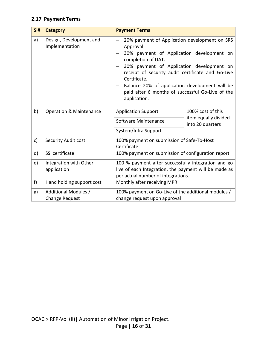# <span id="page-16-0"></span>**2.17 Payment Terms**

| SI# | <b>Category</b>                               | <b>Payment Terms</b>                                                                                                                                                                                                                                                                                                                                                 |                                                               |
|-----|-----------------------------------------------|----------------------------------------------------------------------------------------------------------------------------------------------------------------------------------------------------------------------------------------------------------------------------------------------------------------------------------------------------------------------|---------------------------------------------------------------|
| a)  | Design, Development and<br>Implementation     | 20% payment of Application development on SRS<br>Approval<br>30% payment of Application development on<br>completion of UAT.<br>30% payment of Application development on<br>receipt of security audit certificate and Go-Live<br>Certificate.<br>Balance 20% of application development will be<br>paid after 6 months of successful Go-Live of the<br>application. |                                                               |
| b)  | <b>Operation &amp; Maintenance</b>            | <b>Application Support</b><br>Software Maintenance<br>System/Infra Support                                                                                                                                                                                                                                                                                           | 100% cost of this<br>item equally divided<br>into 20 quarters |
| c)  | Security Audit cost                           | 100% payment on submission of Safe-To-Host<br>Certificate                                                                                                                                                                                                                                                                                                            |                                                               |
| d)  | SSI certificate                               | 100% payment on submission of configuration report                                                                                                                                                                                                                                                                                                                   |                                                               |
| e)  | Integration with Other<br>application         | 100 % payment after successfully integration and go<br>live of each Integration, the payment will be made as<br>per actual number of integrations.                                                                                                                                                                                                                   |                                                               |
| f)  | Hand holding support cost                     | Monthly after receiving MPR                                                                                                                                                                                                                                                                                                                                          |                                                               |
| g)  | Additional Modules /<br><b>Change Request</b> | 100% payment on Go-Live of the additional modules /<br>change request upon approval                                                                                                                                                                                                                                                                                  |                                                               |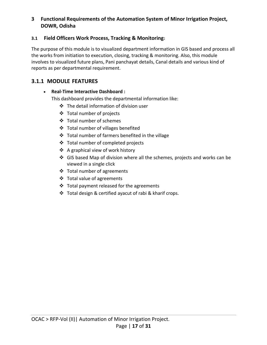# <span id="page-17-0"></span>**3 Functional Requirements of the Automation System of Minor Irrigation Project, DOWR, Odisha**

# <span id="page-17-1"></span>**3.1 Field Officers Work Process, Tracking & Monitoring:**

The purpose of this module is to visualized department information in GIS based and process all the works from initiation to execution, closing, tracking & monitoring. Also, this module involves to visualized future plans, Pani panchayat details, Canal details and various kind of reports as per departmental requirement.

# <span id="page-17-2"></span>**3.1.1 MODULE FEATURES**

# • **Real-Time Interactive Dashboard :**

This dashboard provides the departmental information like:

- ❖ The detail information of division user
- ❖ Total number of projects
- ❖ Total number of schemes
- ❖ Total number of villages benefited
- ❖ Total number of farmers benefited in the village
- ❖ Total number of completed projects
- ❖ A graphical view of work history
- ❖ GIS based Map of division where all the schemes, projects and works can be viewed in a single click
- ❖ Total number of agreements
- ❖ Total value of agreements
- ❖ Total payment released for the agreements
- ❖ Total design & certified ayacut of rabi & kharif crops.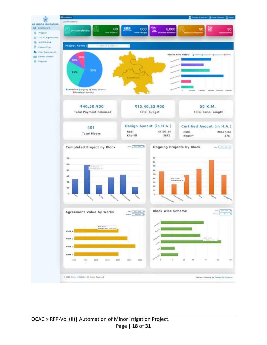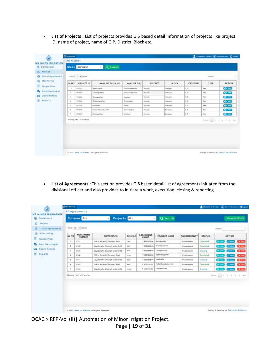• **List of Projects** : List of projects provides GIS based detail information of projects like project ID, name of project, name of G.P, District, Block etc.

| <b>MINOR IRRIGATION</b> |                      |                             |                          |                      |                  |                  |                |                                    |                    |
|-------------------------|----------------------|-----------------------------|--------------------------|----------------------|------------------|------------------|----------------|------------------------------------|--------------------|
| ø<br>Dashboard          | Block                | Bungpur                     | Q search<br>$\mathbf{a}$ |                      |                  |                  |                |                                    |                    |
| 瓜<br>Project            |                      |                             |                          |                      |                  |                  |                |                                    |                    |
| List of Agreement<br>a, |                      | Show 10 - weeken            |                          |                      |                  |                  |                | <b>Search</b>                      |                    |
| Monitoring<br>曲         | SL NO                | <b>PROJECT ID</b>           | NAME OF THE M.I.P        | NAME OF G.P.         | DISTRICT         | <b>BLOCK</b>     | CATEGORY       | TYPE                               | <b>ACTION</b>      |
| Futuro Plan             | - 1                  | 1667031                     | Astrokomolia             | Gankheimutes         | <b>Khurdo</b>    | <b>Banquin</b>   | <0             | <b>Agy</b>                         | $\bullet$          |
| <b>Pani Panchaval</b>   | ×                    | 1997033                     | Chanalpideheri           | Gankharimissin       | <b>BRAYIN</b>    | Burnspie         | E.0            | <b>Box</b>                         | $Q = 1$            |
| Congi Details<br>肩      | 1                    | 1997003                     | Charlopolishari          | Nochusi              | <b>Marda</b>     | <b>Branchaus</b> | EB             | <b>BM</b>                          | $Q$ (iii)          |
| Keports                 | ٠                    | <b>HIETOOA</b>              | Goldningspokhart         | Turnungardt          | <b>Khursto</b>   | Barragui         | <b>CO</b>      | No.                                | $\mathbf{C}$ and   |
|                         | $\mathbb{I}$         | 1007003                     | Insalingila              | Galus:               | <b>Khuydo</b>    | Bandpur          | C <sub>0</sub> | bas.                               | $\bullet$ and      |
|                         | ×                    | 1987006                     | Holandabadabundhe        | <b>Moreoutreport</b> | RFerrido         | Bangor           | E.O.           | First                              | $e$ and            |
|                         | $\ddot{\phantom{1}}$ | <b>INE ABST</b>             | <b>Eherlegschleist</b>   | <b>Marketi</b>       | <b>Bitarrist</b> | <b>Bundari</b>   | $-2.5$         | <b>Tuis</b>                        | $\bullet$ $\cdots$ |
|                         |                      | Showing 1 to 7 of 7 antrius |                          |                      |                  |                  |                | French [M] 1 - 1 - 1 - 2 - 3 - the |                    |
|                         |                      |                             |                          |                      |                  |                  |                |                                    |                    |
|                         |                      |                             |                          |                      |                  |                  |                |                                    |                    |
|                         |                      |                             |                          |                      |                  |                  |                |                                    |                    |
|                         |                      |                             |                          |                      |                  |                  |                |                                    |                    |
|                         |                      |                             |                          |                      |                  |                  |                |                                    |                    |
|                         |                      |                             |                          |                      |                  |                  |                |                                    |                    |

• **List of Agreements :** This section provides GIS based detail list of agreements initiated from the divisional officer and also provides to initiate a work, execution, closing & reporting.

|                                            | <b>C</b> Instance: |                             |                                               |             |                     |                        |                                    |               | <b>Exterior of Stresser</b> (A) head Process (                              | <b>Chingson</b>       |
|--------------------------------------------|--------------------|-----------------------------|-----------------------------------------------|-------------|---------------------|------------------------|------------------------------------|---------------|-----------------------------------------------------------------------------|-----------------------|
| <b>MINOR IRRIGATION</b>                    |                    | All Agreements              |                                               |             |                     |                        |                                    |               |                                                                             |                       |
| WR<br>Dashboord<br>ø                       |                    | Scheme ALL                  | <b>Projects ALL</b><br>$\blacksquare$         |             |                     | Q search               |                                    |               | <b>Create Work</b>                                                          |                       |
| ñ<br>Project                               |                    |                             |                                               |             |                     |                        |                                    |               |                                                                             |                       |
| ₿<br>List of Agreement                     |                    | Show 12 . Vienties          |                                               |             |                     |                        |                                    |               | learn.                                                                      |                       |
| 腊<br>Monitoring<br>ø<br><b>Future Plan</b> | <b>SL NO</b>       | <b>AGREEMENT</b><br>NUMBER  | WORK NAME                                     | SCHEME      | <b>AGREEMENT</b>    | PROJECT NAME           | CONSTITUENCY                       | <b>STATUS</b> | <b>ACTION</b>                                                               |                       |
|                                            |                    | 37137                       | FDR to Rotunoti Sercoari Road                 | Can.        | # 4861233.00        | Ashokansillar          | <b><i>Ehubaneswar</i></b>          | Campiotech    | سبتان<br><b>Comment</b>                                                     | <b>x</b> me           |
| Pani Panchayat                             | a.                 | 37138                       | Guyubandha Olosingh under 243D                | Astro       | 1 5023658.00        | Chandipobbari          | <b>Bhudsetween</b>                 | Completed     | <b>Z</b> Hotel<br>$\bullet$ $\bullet$                                       | <b>X</b> Sime         |
| Canal Details<br>₩                         | 3                  | 17139                       | Gayabanaha Oliseingh under 2455.              | 1938        | <b>V-5033658.00</b> | <b>Ohengovihari</b>    | <b>Il hubanesser</b>               | Origoling     | <b>Zulantine</b><br>$\bullet$ . The $\bullet$                               | <b>X</b> Sims         |
| 说<br>Reports                               | ٠                  | 37140                       | FDR to Returnerti Sanzagoi Risadi             | <b>JUVW</b> | T 4001233.00        | Sobindopolitari        | <b><i><u>Shubaneswar</u></i></b>   | Completed.    | د ب                                                                         | <b>X</b> Clean        |
|                                            | s                  | 37141                       | Gayubandha Ölcsingh under 2450-               | <b>IRDF</b> | <b>4 5523458.00</b> | Hethrethe              | <b><i>Efaberment</i></b>           | Chryslery     | <b>Simple</b>                                                               | <b>X</b> Circle       |
|                                            | ٠                  | 17142                       | FDR to Rotamoti Sampani Read                  | WHY         | <b>1 4001233.03</b> | Helandobadobundhe:     | <b><i><u>Bhütsetesserr</u></i></b> | Completed     |                                                                             | <b>X</b> Chee         |
|                                            | 3                  | 17143                       | Goyulinindha Olasimph under 2450              | <b>O.MP</b> | 9 6623458.00        | <b>Clivilopolitasi</b> | <b>Břudasireavenr</b>              | Origining     |                                                                             | <b>X</b> lims         |
|                                            |                    | Showing 1 to 7 of 7 entries |                                               |             |                     |                        |                                    |               | $\lambda = 1$ , $\lambda = 1$<br>×<br>$\mathcal{L}_{\mathcal{A}}$<br>$\sim$ | $\sim$<br><b>HAAL</b> |
|                                            |                    |                             |                                               |             |                     |                        |                                    |               |                                                                             |                       |
|                                            |                    |                             |                                               |             |                     |                        |                                    |               |                                                                             |                       |
|                                            |                    |                             |                                               |             |                     |                        |                                    |               |                                                                             |                       |
|                                            |                    |                             |                                               |             |                     |                        |                                    |               |                                                                             |                       |
|                                            |                    |                             |                                               |             |                     |                        |                                    |               |                                                                             |                       |
|                                            |                    |                             | = 2321, Gavt. of Odisha, All Rights Reserved. |             |                     |                        |                                    |               | Design & Davelop by Cannoctic Seftwere                                      |                       |
|                                            |                    |                             |                                               |             |                     |                        |                                    |               |                                                                             |                       |

OCAC > RFP-Vol (II)| Automation of Minor Irrigation Project. Page | **19** of **31**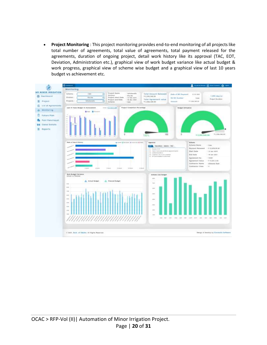• **Project Monitoring** : This project monitoring provides end-to-end monitoring of all projects like total number of agreements, total value of agreements, total payment released for the agreements, duration of ongoing project, detail work history like its approval (TAC, EOT, Deviation, Administration etc.), graphical view of work budget variance like actual budget & work progress, graphical view of scheme wise budget and a graphical view of last 10 years budget vs achievement etc.

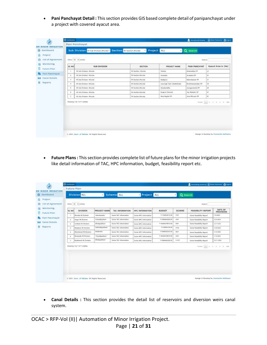• **Pani Panchayat Detail :** This section provides GIS based complete detail of panipanchayat under a project with covered ayacut area.

|                                                               | <b>Giovanni</b> | Pani Panchayat                                                                |                                                        |                           | <b>E</b> encourage browse            | (a) boot formers Chingson |  |  |  |  |  |  |  |
|---------------------------------------------------------------|-----------------|-------------------------------------------------------------------------------|--------------------------------------------------------|---------------------------|--------------------------------------|---------------------------|--|--|--|--|--|--|--|
| WR. MINOR IRRIGATION                                          |                 |                                                                               |                                                        |                           |                                      |                           |  |  |  |  |  |  |  |
| Deshboard<br>G)                                               |                 |                                                                               | Sub Division at the tissue them . Section at technique | Project ALL               | Q tearch<br>٠l                       |                           |  |  |  |  |  |  |  |
| Project<br>G                                                  |                 |                                                                               |                                                        |                           |                                      |                           |  |  |  |  |  |  |  |
| List of Agreement<br>℮                                        |                 | mee: 10. wjeren.<br>Beach:                                                    |                                                        |                           |                                      |                           |  |  |  |  |  |  |  |
| Monitorma<br>扇                                                | SL NO           | <b>SUB DIVISION</b>                                                           |                                                        | <b>SECTION</b>            | <b>FROJECT NAME</b><br>PANI PANCHYAT | Ayacut Area in [Ha]       |  |  |  |  |  |  |  |
| ø<br><b>Futura Plan</b>                                       | ×               | 66 lady Divisioni, Witarcha                                                   | Mi faction, Khimm                                      | Golden                    | <b>Alternative FF</b>                | 13                        |  |  |  |  |  |  |  |
| <b>Fani Ponchoyat</b><br><b>Congl Details</b><br><b>Links</b> | $\exists$       | W Sub Diverset, Shareke                                                       | <b>AA1 SacAlion Billscribs</b>                         | <b>Anatodis</b>           | Andredo PP                           | 11                        |  |  |  |  |  |  |  |
|                                                               | ×               | WI Sub Elizabet, Misardal                                                     | Mi Section Kilorda                                     | Bodojove                  | <b>Bakankassaar PP</b>               | 38                        |  |  |  |  |  |  |  |
| Reports<br>н                                                  | $\cdot$         | W. ILO Division, Charder                                                      | Mt Bachkor, Churchi                                    | Leusingh Tonk (Kodulibad) | Broadhassea'caley PP                 | 12                        |  |  |  |  |  |  |  |
|                                                               | ٠               | All SLA Division, Albumin                                                     | Mi Tachker, Oharder                                    | Desakanding               | January enables 215                  | 48                        |  |  |  |  |  |  |  |
|                                                               | ٠               | WE like Elvisium, Whitney                                                     | Mi Baction Khurdo                                      | <b>Bugged Channel</b>     | Azy Manakin VIII                     | 41                        |  |  |  |  |  |  |  |
|                                                               | $\mathcal{R}$   | At 3ah Division, Wicede                                                       | All Tachlori-Enurolo                                   | Maa Nughei PP             | Jens Bluyen FF                       | $\mathbf{m}$              |  |  |  |  |  |  |  |
|                                                               |                 | Showing 1 to 7 of T ontrins<br>$[0,1]$ (F. 17), (C. 17), (E. 180)<br>Pinkins: |                                                        |                           |                                      |                           |  |  |  |  |  |  |  |
|                                                               |                 |                                                                               |                                                        |                           |                                      |                           |  |  |  |  |  |  |  |
|                                                               |                 |                                                                               |                                                        |                           |                                      |                           |  |  |  |  |  |  |  |
|                                                               |                 |                                                                               |                                                        |                           |                                      |                           |  |  |  |  |  |  |  |
|                                                               |                 |                                                                               |                                                        |                           |                                      |                           |  |  |  |  |  |  |  |
|                                                               |                 |                                                                               |                                                        |                           |                                      |                           |  |  |  |  |  |  |  |
|                                                               |                 |                                                                               |                                                        |                           |                                      |                           |  |  |  |  |  |  |  |
|                                                               |                 |                                                                               |                                                        |                           |                                      |                           |  |  |  |  |  |  |  |

• **Future Plans :** This section provides complete list of future plans for the minor irrigation projects like detail information of TAC, HPC information, budget, feasibility report etc.

| <b>MINOR IRRIGATION</b>           |                                    |                                     |                       |                              |                                |                  |               |                                      |                                    |
|-----------------------------------|------------------------------------|-------------------------------------|-----------------------|------------------------------|--------------------------------|------------------|---------------|--------------------------------------|------------------------------------|
| Deshboard                         |                                    | <b>Division ALL</b>                 |                       | <b>Scheme ALL</b>            | Project ALL                    |                  | Q search<br>٠ |                                      |                                    |
| Prainot<br>List of Agreement      | Shop: 15. Victoria<br>$B$ dat (21) |                                     |                       |                              |                                |                  |               |                                      |                                    |
| Monitonnia                        | <b>BA. NO</b>                      | OIVISION                            | PROJECT NAME          | TAC INFORMATION              | HIFC INFORMATION               | <b>BUDGET</b>    | SCHEME        | FEASIBILITY REPORT                   | <b>OATE OF</b><br><b>PROVISION</b> |
| <b>Furtuire</b> Prom              |                                    | Education Ma Divisions              | <b>Automobile</b>     | Same TAC Infermation:        | Sums HPC toformation           | € FIS#ES#FIQ.06  | Cash.         | Some Femilisting Report              | <b>CAINEE</b>                      |
| Pani Panchayat                    | $\mathbb{I}$                       | Arged MI Division                   | Cruzolipci/vari       | Same TAC Advertation:        | <b>Done HRC Information</b>    | Y ESANYIGSA OR   | <b>AGEY</b>   | Spence Feasibility Pagesti           | TEH-TONE                           |
| Conni Dotalis<br><b>Allege St</b> |                                    | Cuthods Mr Bisiston                 | Divisions (           | Some TAC Administration      | Scene HPC Information          | T-4045417087330E | <b>WANT</b>   | Some Feasibility Pascert             | \$5/Arres                          |
| REDOTTE                           | J.                                 | <b>Business &amp; NEi Distalant</b> | Gabindapolitics       | Sales TAC Mercurians         | lisane HPC biformation         | * Granitara.co   | 1mw           | Some Fereibility Report              | <b>BUN WHILE</b>                   |
|                                   |                                    | Disankansal Mt Division.            | Hollmann              | <b>Same TAC Infurmation</b>  | Some HPC Internation           | 9 ED44022553.00  | seine         | Some Foundation Papers               | 11/4/1818                          |
|                                   |                                    | <b>Bargeda NI Division</b>          | ChandigoWheri         | Spots TAC Infurmation        | Sums (IPC information)         | 4 49414170472.26 | Jath          | Genric Foundation Papert.            | K/NVPREE                           |
|                                   |                                    | <b>Existend #E Delaion</b>          | <b>Divisional Act</b> | <b>Lews TAC</b> information: | <b>System MFS: Information</b> | Y ES4sxc1454.00  | 以前            | Surve Feedbillity Fagust             | 32/11/3003                         |
|                                   |                                    | Showing 1 to 7 of T stylnles        |                       |                              |                                |                  |               | Forday 1.5.1 4 . 9 . 9 . 9 . 9 . 9 . |                                    |

• **Canal Details :** This section provides the detail list of reservoirs and diversion weirs canal system.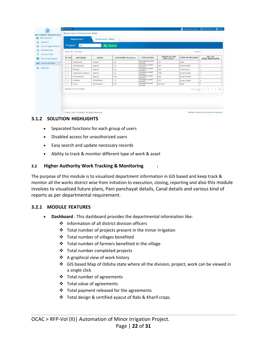| a<br>Beschloeid                                                                  |                       |                                        | Reservoir                    | Diversion Weir    |                      |                                                       |                             |                         |                                                                                                                                                                                                                                                                                                                                      |  |
|----------------------------------------------------------------------------------|-----------------------|----------------------------------------|------------------------------|-------------------|----------------------|-------------------------------------------------------|-----------------------------|-------------------------|--------------------------------------------------------------------------------------------------------------------------------------------------------------------------------------------------------------------------------------------------------------------------------------------------------------------------------------|--|
| Project<br>雌<br>List of Agreement:<br>₿<br>Monitoring<br>Œ<br><b>Future Plan</b> |                       | Q Search<br>Project<br>×<br><b>ALL</b> |                              |                   |                      |                                                       |                             |                         |                                                                                                                                                                                                                                                                                                                                      |  |
|                                                                                  |                       | Stow 12 inches<br>bearts.              |                              |                   |                      |                                                       |                             |                         |                                                                                                                                                                                                                                                                                                                                      |  |
|                                                                                  | Pani Panchayat        | ILL NO                                 | <b>MIP NAME</b>              | <b>BLOCK</b>      | CATCHMENT IN Sq.K.m. | TYPE OF DAM                                           | LENGTH OF THE<br>DAM (IN M) | <b>TYPE OF SPILLWAY</b> | NO. OF<br>HEAD REGULATOR                                                                                                                                                                                                                                                                                                             |  |
| <b>No.4</b>                                                                      | <b>Camina Decotty</b> | $\blacksquare$                         | Auhokokalte                  | <b>Bakipur</b>    | 5.4                  | Harvageniaux Sarth<br><b>RIK Dure</b>                 | <b>STA</b>                  | Ogna                    |                                                                                                                                                                                                                                                                                                                                      |  |
|                                                                                  | Humorta               | $\overline{a}$                         | Athumaturiana                | Regumin           | 2.8                  | Hartreasting Earth<br>mid Domi                        | 388                         | <b>Brough Linkshall</b> | ×                                                                                                                                                                                                                                                                                                                                    |  |
| ж                                                                                |                       | $\lambda$                              | Heinbaum                     | <b>Bearing</b>    | 4.3                  | Hervisgerius Earth<br><b><i>Riff Diges</i></b>        | 36E                         | <b>Flori Tecape</b>     | $\pm$                                                                                                                                                                                                                                                                                                                                |  |
|                                                                                  |                       | $\ddot{\phantom{1}}$                   | deployation (Tulasiand)      | <b>Beginning</b>  | 1.8                  | <b>Hornagement Factor</b><br>sim point                | TEMP                        | <b>Rosed Crestori</b>   | $\pm$                                                                                                                                                                                                                                                                                                                                |  |
|                                                                                  |                       | $\mathbf{R}$                           | Electrician Rev              | <b>Beganis</b>    | 7.34                 | <b>Hornegeeius Earth</b><br><b><i>Bill Delays</i></b> | <b>AIR</b>                  | <b>Broad Crossed</b>    | $\mathbb{R}^+$                                                                                                                                                                                                                                                                                                                       |  |
|                                                                                  |                       | $\sim$                                 | <b>Builderman</b>            | <b>Hubensee</b>   | 7.8.                 | Hartwainlus Earth<br><b><i>Will Electri</i></b>       | ate.                        | <b>Brough Contract</b>  | $\mathbb{R}$                                                                                                                                                                                                                                                                                                                         |  |
|                                                                                  |                       | $\blacksquare$                         | Darse                        | <b>Webstebear</b> | 18.8                 | Humagettus Earth<br>Fift Down                         | ALC: U.S.                   | Owne                    | ×                                                                                                                                                                                                                                                                                                                                    |  |
|                                                                                  |                       |                                        | (Rowing 1 to 7 of 7 settles) |                   |                      | <b>GALLOR</b>                                         |                             |                         | $\frac{1}{2} \sum_{i=1}^{n} \left\{ \begin{array}{cl} 0 & 0 & 0 & 0 \\ 0 & 0 & 0 & 0 \\ 0 & 0 & 0 & 0 \\ 0 & 0 & 0 & 0 \\ 0 & 0 & 0 & 0 \\ 0 & 0 & 0 & 0 \\ 0 & 0 & 0 & 0 \\ 0 & 0 & 0 & 0 \\ 0 & 0 & 0 & 0 \\ 0 & 0 & 0 & 0 & 0 \\ 0 & 0 & 0 & 0 & 0 \\ 0 & 0 & 0 & 0 & 0 \\ 0 & 0 & 0 & 0 & 0 \\ 0 & 0 & 0 & 0 & 0 \\ 0 & 0 & 0 &$ |  |

#### <span id="page-22-0"></span>**3.1.2 SOLUTION HIGHLIGHTS**

- Separated functions for each group of users
- Disabled access for unauthorized users
- Easy search and update necessary records
- Ability to track & monitor different type of work & asset

#### <span id="page-22-1"></span>**3.2 Higher Authority Work Tracking & Monitoring :**

The purpose of this module is to visualized department information in GIS based and keep track & monitor all the works district wise from initiation to execution, closing, reporting and also this module involves to visualized future plans, Pani panchayat details, Canal details and various kind of reports as per departmental requirement.

#### <span id="page-22-2"></span>**3.2.1 MODULE FEATURES**

- **Dashboard** : This dashboard provides the departmental information like:
	- ❖ Information of all district division officers
	- ❖ Total number of projects present in the minor irrigation
	- ❖ Total number of villages benefited
	- ❖ Total number of farmers benefited in the village
	- ❖ Total number completed projects
	- ❖ A graphical view of work history
	- ❖ GIS based Map of Odisha state where all the division, project, work can be viewed in a single click
	- ❖ Total number of agreements
	- ❖ Total value of agreements
	- ❖ Total payment released for the agreements
	- ❖ Total design & certified ayacut of Rabi & Kharif crops.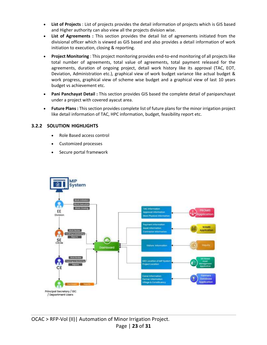- **List of Projects** : List of projects provides the detail information of projects which is GIS based and Higher authority can also view all the projects division wise.
- **List of Agreements :** This section provides the detail list of agreements initiated from the divisional officer which is viewed as GIS based and also provides a detail information of work initiation to execution, closing & reporting.
- **Project Monitoring** : This project monitoring provides end-to-end monitoring of all projects like total number of agreements, total value of agreements, total payment released for the agreements, duration of ongoing project, detail work history like its approval (TAC, EOT, Deviation, Administration etc.), graphical view of work budget variance like actual budget & work progress, graphical view of scheme wise budget and a graphical view of last 10 years budget vs achievement etc.
- **Pani Panchayat Detail :** This section provides GIS based the complete detail of panipanchayat under a project with covered ayacut area.
- **Future Plans :** This section provides complete list of future plans for the minor irrigation project like detail information of TAC, HPC information, budget, feasibility report etc.

#### <span id="page-23-0"></span>**3.2.2 SOLUTION HIGHLIGHTS**

- Role Based access control
- Customized processes
- Secure portal framework

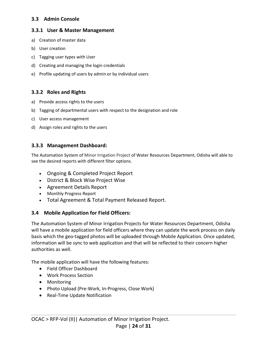# <span id="page-24-0"></span>**3.3 Admin Console**

### <span id="page-24-1"></span>**3.3.1 User & Master Management**

- a) Creation of master data
- b) User creation
- c) Tagging user types with User
- d) Creating and managing the login credentials
- e) Profile updating of users by admin or by individual users

# <span id="page-24-2"></span>**3.3.2 Roles and Rights**

- a) Provide access rights to the users
- b) Tagging of departmental users with respect to the designation and role
- c) User access management
- d) Assign roles and rights to the users

# <span id="page-24-3"></span>**3.3.3 Management Dashboard:**

The Automation System of Minor Irrigation Project of Water Resources Department, Odisha will able to see the desired reports with different filter options.

- Ongoing & Completed Project Report
- District & Block Wise Project Wise
- Agreement Details Report
- Monthly Progress Report
- Total Agreement & Total Payment Released Report.

# <span id="page-24-4"></span>**3.4 Mobile Application for Field Officers:**

The Automation System of Minor Irrigation Projects for Water Resources Department, Odisha will have a mobile application for field officers where they can update the work process on daily basis which the geo-tagged photos will be uploaded through Mobile Application. Once updated, information will be sync to web application and that will be reflected to their concern higher authorities as well.

The mobile application will have the following features:

- Field Officer Dashboard
- Work Process Section
- Monitoring
- Photo Upload (Pre-Work, In-Progress, Close Work)
- Real-Time Update Notification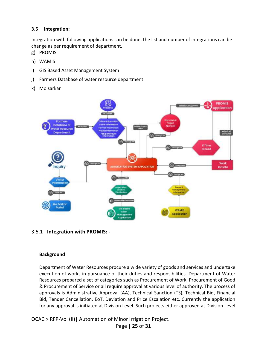# <span id="page-25-0"></span>**3.5 Integration:**

Integration with following applications can be done, the list and number of integrations can be change as per requirement of department.

- g) PROMIS
- h) WAMIS
- i) GIS Based Asset Management System
- j) Farmers Database of water resource department
- k) Mo sarkar



<span id="page-25-1"></span>3.5.1 **Integration with PROMIS: -**

#### **Background**

Department of Water Resources procure a wide variety of goods and services and undertake execution of works in pursuance of their duties and responsibilities. Department of Water Resources prepared a set of categories such as Procurement of Work, Procurement of Good & Procurement of Service or all require approval at various level of authority. The process of approvals is Administrative Approval (AA), Technical Sanction (TS), Technical Bid, Financial Bid, Tender Cancellation, EoT, Deviation and Price Escalation etc. Currently the application for any approval is initiated at Division Level. Such projects either approved at Division Level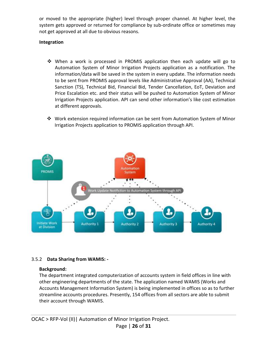or moved to the appropriate (higher) level through proper channel. At higher level, the system gets approved or returned for compliance by sub-ordinate office or sometimes may not get approved at all due to obvious reasons.

# **Integration**

- ❖ When a work is processed in PROMIS application then each update will go to Automation System of Minor Irrigation Projects application as a notification. The information/data will be saved in the system in every update. The information needs to be sent from PROMIS approval levels like Administrative Approval (AA), Technical Sanction (TS), Technical Bid, Financial Bid, Tender Cancellation, EoT, Deviation and Price Escalation etc. and their status will be pushed to Automation System of Minor Irrigation Projects application. API can send other information's like cost estimation at different approvals.
- ❖ Work extension required information can be sent from Automation System of Minor Irrigation Projects application to PROMIS application through API.



# <span id="page-26-0"></span>3.5.2 **Data Sharing from WAMIS: -**

#### **Background:**

The department integrated computerization of accounts system in field offices in line with other engineering departments of the state. The application named WAMIS (Works and Accounts Management Information System) is being implemented in offices so as to further streamline accounts procedures. Presently, 154 offices from all sectors are able to submit their account through WAMIS.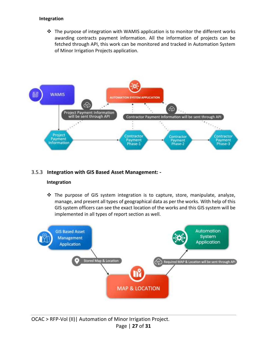#### **Integration**

 $\div$  The purpose of integration with WAMIS application is to monitor the different works awarding contracts payment information. All the information of projects can be fetched through API, this work can be monitored and tracked in Automation System of Minor Irrigation Projects application.



### <span id="page-27-0"></span>3.5.3 **Integration with GIS Based Asset Management: -**

#### **Integration**

❖ The purpose of GIS system integration is to capture, store, manipulate, analyze, manage, and present all types of geographical data as per the works. With help of this GIS system officers can see the exact location of the works and this GIS system will be implemented in all types of report section as well.

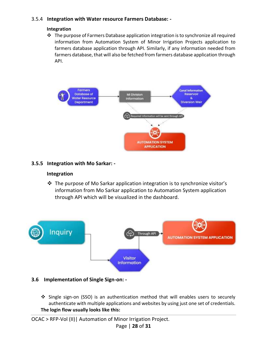# <span id="page-28-0"></span>3.5.4 **Integration with Water resource Farmers Database: -**

### **Integration**

❖ The purpose of Farmers Database application integration is to synchronize all required information from Automation System of Minor Irrigation Projects application to farmers database application through API. Similarly, if any information needed from farmers database, that will also be fetched from farmers database application through API.



# <span id="page-28-1"></span>**3.5.5 Integration with Mo Sarkar: -**

# **Integration**

❖ The purpose of Mo Sarkar application integration is to synchronize visitor's information from Mo Sarkar application to Automation System application through API which will be visualized in the dashboard.



# <span id="page-28-2"></span>**3.6 Implementation of Single Sign-on: -**

❖ Single sign-on (SSO) is an authentication method that will enables users to securely authenticate with multiple applications and websites by using just one set of credentials. **The login flow usually looks like this:**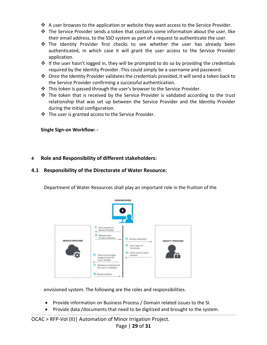- ◆ A user browses to the application or website they want access to the Service Provider.
- ◆ The Service Provider sends a token that contains some information about the user, like their email address, to the SSO system as part of a request to authenticate the user.
- ❖ The Identity Provider first checks to see whether the user has already been authenticated, in which case it will grant the user access to the Service Provider application.
- $\dots$  If the user hasn't logged in, they will be prompted to do so by providing the credentials required by the Identity Provider. This could simply be a username and password.
- ◆ Once the Identity Provider validates the credentials provided, it will send a token back to the Service Provider confirming a successful authentication.
- ❖ This token is passed through the user's browser to the Service Provider.
- $\div$  The token that is received by the Service Provider is validated according to the trust relationship that was set up between the Service Provider and the Identity Provider during the initial configuration.
- ❖ The user is granted access to the Service Provider.

<span id="page-29-0"></span>**Single Sign-on Workflow: -**

# <span id="page-29-1"></span>**4 Role and Responsibility of different stakeholders:**

# <span id="page-29-2"></span>**4.1 Responsibility of the Directorate of Water Resource:**

Department of Water Resources shall play an important role in the fruition of the



envisioned system. The following are the roles and responsibilities.

- Provide information on Business Process / Domain related issues to the SI.
- Provide data /documents that need to be digitized and brought to the system.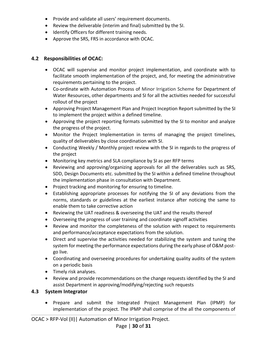- Provide and validate all users' requirement documents.
- Review the deliverable (interim and final) submitted by the SI.
- Identify Officers for different training needs.
- Approve the SRS, FRS in accordance with OCAC.

# <span id="page-30-0"></span>**4.2 Responsibilities of OCAC:**

- OCAC will supervise and monitor project implementation, and coordinate with to facilitate smooth implementation of the project, and, for meeting the administrative requirements pertaining to the project.
- Co-ordinate with Automation Process of Minor Irrigation Scheme for Department of Water Resources, other departments and SI for all the activities needed for successful rollout of the project
- Approving Project Management Plan and Project Inception Report submitted by the SI to implement the project within a defined timeline.
- Approving the project reporting formats submitted by the SI to monitor and analyze the progress of the project.
- Monitor the Project Implementation in terms of managing the project timelines, quality of deliverables by close coordination with SI.
- Conducting Weekly / Monthly project review with the SI in regards to the progress of the project
- Monitoring key metrics and SLA compliance by SI as per RFP terms
- Reviewing and approving/organizing approvals for all the deliverables such as SRS, SDD, Design Documents etc. submitted by the SI within a defined timeline throughout the implementation phase in consultation with Department.
- Project tracking and monitoring for ensuring to timeline.
- Establishing appropriate processes for notifying the SI of any deviations from the norms, standards or guidelines at the earliest instance after noticing the same to enable them to take corrective action
- Reviewing the UAT readiness & overseeing the UAT and the results thereof
- Overseeing the progress of user training and coordinate signoff activities
- Review and monitor the completeness of the solution with respect to requirements and performance/acceptance expectations from the solution.
- Direct and supervise the activities needed for stabilizing the system and tuning the system for meeting the performance expectations during the early phase of O&M postgo live.
- Coordinating and overseeing procedures for undertaking quality audits of the system on a periodic basis
- Timely risk analyses.
- Review and provide recommendations on the change requests identified by the SI and assist Department in approving/modifying/rejecting such requests

# **4.3 System Integrator**

<span id="page-30-1"></span>• Prepare and submit the Integrated Project Management Plan (IPMP) for implementation of the project. The IPMP shall comprise of the all the components of